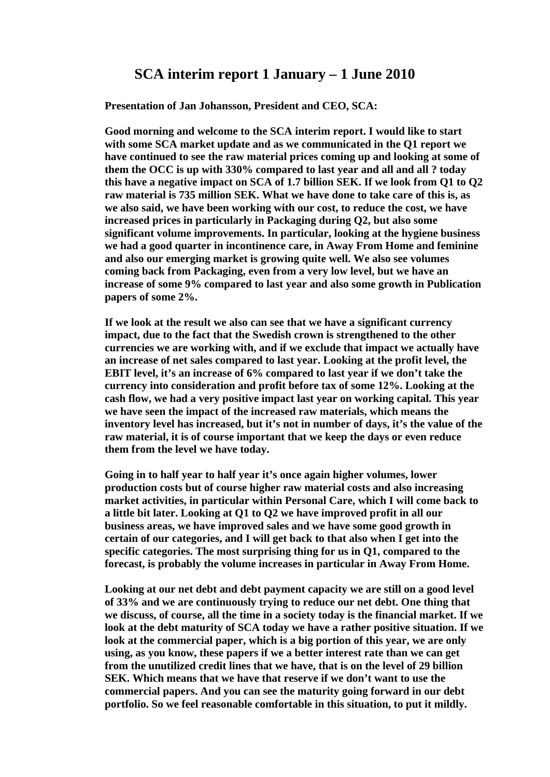# **SCA interim report 1 January – 1 June 2010**

**Presentation of Jan Johansson, President and CEO, SCA:** 

 **Good morning and welcome to the SCA interim report. I would like to start with some SCA market update and as we communicated in the Q1 report we have continued to see the raw material prices coming up and looking at some of them the OCC is up with 330% compared to last year and all and all ? today this have a negative impact on SCA of 1.7 billion SEK. If we look from Q1 to Q2 raw material is 735 million SEK. What we have done to take care of this is, as we also said, we have been working with our cost, to reduce the cost, we have increased prices in particularly in Packaging during Q2, but also some significant volume improvements. In particular, looking at the hygiene business we had a good quarter in incontinence care, in Away From Home and feminine and also our emerging market is growing quite well. We also see volumes coming back from Packaging, even from a very low level, but we have an increase of some 9% compared to last year and also some growth in Publication papers of some 2%.** 

 **If we look at the result we also can see that we have a significant currency impact, due to the fact that the Swedish crown is strengthened to the other currencies we are working with, and if we exclude that impact we actually have an increase of net sales compared to last year. Looking at the profit level, the EBIT level, it's an increase of 6% compared to last year if we don't take the currency into consideration and profit before tax of some 12%. Looking at the cash flow, we had a very positive impact last year on working capital. This year we have seen the impact of the increased raw materials, which means the inventory level has increased, but it's not in number of days, it's the value of the raw material, it is of course important that we keep the days or even reduce them from the level we have today.** 

 **Going in to half year to half year it's once again higher volumes, lower production costs but of course higher raw material costs and also increasing market activities, in particular within Personal Care, which I will come back to a little bit later. Looking at Q1 to Q2 we have improved profit in all our business areas, we have improved sales and we have some good growth in certain of our categories, and I will get back to that also when I get into the specific categories. The most surprising thing for us in Q1, compared to the forecast, is probably the volume increases in particular in Away From Home.** 

 **Looking at our net debt and debt payment capacity we are still on a good level of 33% and we are continuously trying to reduce our net debt. One thing that we discuss, of course, all the time in a society today is the financial market. If we look at the debt maturity of SCA today we have a rather positive situation. If we look at the commercial paper, which is a big portion of this year, we are only using, as you know, these papers if we a better interest rate than we can get from the unutilized credit lines that we have, that is on the level of 29 billion SEK. Which means that we have that reserve if we don't want to use the commercial papers. And you can see the maturity going forward in our debt portfolio. So we feel reasonable comfortable in this situation, to put it mildly.**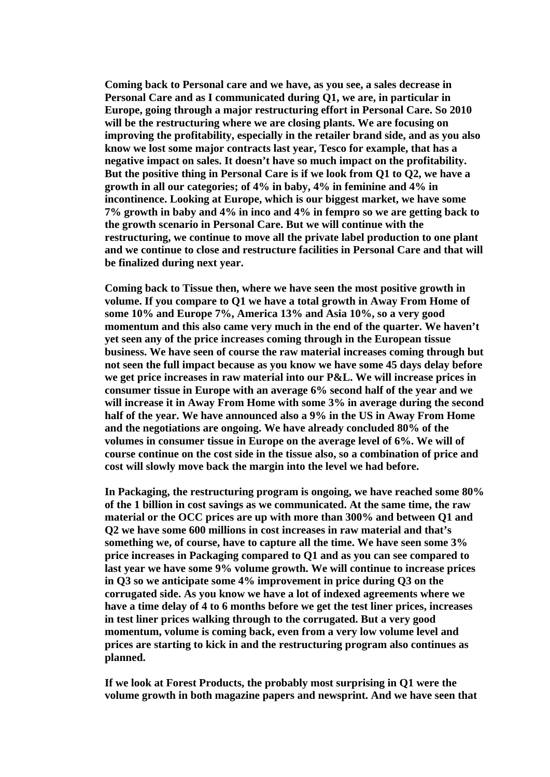**Coming back to Personal care and we have, as you see, a sales decrease in Personal Care and as I communicated during Q1, we are, in particular in Europe, going through a major restructuring effort in Personal Care. So 2010 will be the restructuring where we are closing plants. We are focusing on improving the profitability, especially in the retailer brand side, and as you also know we lost some major contracts last year, Tesco for example, that has a negative impact on sales. It doesn't have so much impact on the profitability. But the positive thing in Personal Care is if we look from Q1 to Q2, we have a growth in all our categories; of 4% in baby, 4% in feminine and 4% in incontinence. Looking at Europe, which is our biggest market, we have some 7% growth in baby and 4% in inco and 4% in fempro so we are getting back to the growth scenario in Personal Care. But we will continue with the restructuring, we continue to move all the private label production to one plant and we continue to close and restructure facilities in Personal Care and that will be finalized during next year.** 

 **Coming back to Tissue then, where we have seen the most positive growth in volume. If you compare to Q1 we have a total growth in Away From Home of some 10% and Europe 7%, America 13% and Asia 10%, so a very good momentum and this also came very much in the end of the quarter. We haven't yet seen any of the price increases coming through in the European tissue business. We have seen of course the raw material increases coming through but not seen the full impact because as you know we have some 45 days delay before we get price increases in raw material into our P&L. We will increase prices in consumer tissue in Europe with an average 6% second half of the year and we will increase it in Away From Home with some 3% in average during the second half of the year. We have announced also a 9% in the US in Away From Home and the negotiations are ongoing. We have already concluded 80% of the volumes in consumer tissue in Europe on the average level of 6%. We will of course continue on the cost side in the tissue also, so a combination of price and cost will slowly move back the margin into the level we had before.** 

 **In Packaging, the restructuring program is ongoing, we have reached some 80% of the 1 billion in cost savings as we communicated. At the same time, the raw material or the OCC prices are up with more than 300% and between Q1 and Q2 we have some 600 millions in cost increases in raw material and that's something we, of course, have to capture all the time. We have seen some 3% price increases in Packaging compared to Q1 and as you can see compared to last year we have some 9% volume growth. We will continue to increase prices in Q3 so we anticipate some 4% improvement in price during Q3 on the corrugated side. As you know we have a lot of indexed agreements where we have a time delay of 4 to 6 months before we get the test liner prices, increases in test liner prices walking through to the corrugated. But a very good momentum, volume is coming back, even from a very low volume level and prices are starting to kick in and the restructuring program also continues as planned.** 

 **If we look at Forest Products, the probably most surprising in Q1 were the volume growth in both magazine papers and newsprint. And we have seen that**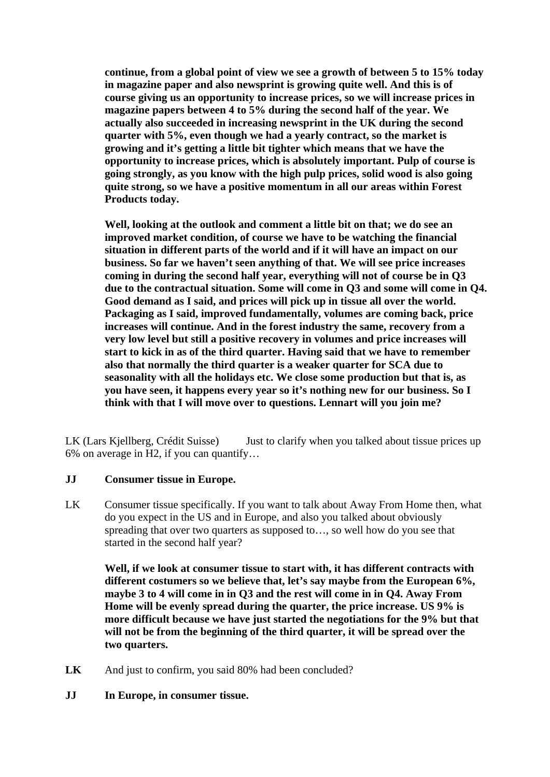**continue, from a global point of view we see a growth of between 5 to 15% today in magazine paper and also newsprint is growing quite well. And this is of course giving us an opportunity to increase prices, so we will increase prices in magazine papers between 4 to 5% during the second half of the year. We actually also succeeded in increasing newsprint in the UK during the second quarter with 5%, even though we had a yearly contract, so the market is growing and it's getting a little bit tighter which means that we have the opportunity to increase prices, which is absolutely important. Pulp of course is going strongly, as you know with the high pulp prices, solid wood is also going quite strong, so we have a positive momentum in all our areas within Forest Products today.** 

 **Well, looking at the outlook and comment a little bit on that; we do see an improved market condition, of course we have to be watching the financial situation in different parts of the world and if it will have an impact on our business. So far we haven't seen anything of that. We will see price increases coming in during the second half year, everything will not of course be in Q3 due to the contractual situation. Some will come in Q3 and some will come in Q4. Good demand as I said, and prices will pick up in tissue all over the world. Packaging as I said, improved fundamentally, volumes are coming back, price increases will continue. And in the forest industry the same, recovery from a very low level but still a positive recovery in volumes and price increases will start to kick in as of the third quarter. Having said that we have to remember also that normally the third quarter is a weaker quarter for SCA due to seasonality with all the holidays etc. We close some production but that is, as you have seen, it happens every year so it's nothing new for our business. So I think with that I will move over to questions. Lennart will you join me?** 

LK (Lars Kjellberg, Crédit Suisse) Just to clarify when you talked about tissue prices up 6% on average in H2, if you can quantify…

#### **JJ Consumer tissue in Europe.**

LK Consumer tissue specifically. If you want to talk about Away From Home then, what do you expect in the US and in Europe, and also you talked about obviously spreading that over two quarters as supposed to…, so well how do you see that started in the second half year?

 **Well, if we look at consumer tissue to start with, it has different contracts with different costumers so we believe that, let's say maybe from the European 6%, maybe 3 to 4 will come in in Q3 and the rest will come in in Q4. Away From Home will be evenly spread during the quarter, the price increase. US 9% is more difficult because we have just started the negotiations for the 9% but that will not be from the beginning of the third quarter, it will be spread over the two quarters.** 

- **LK** And just to confirm, you said 80% had been concluded?
- **JJ In Europe, in consumer tissue.**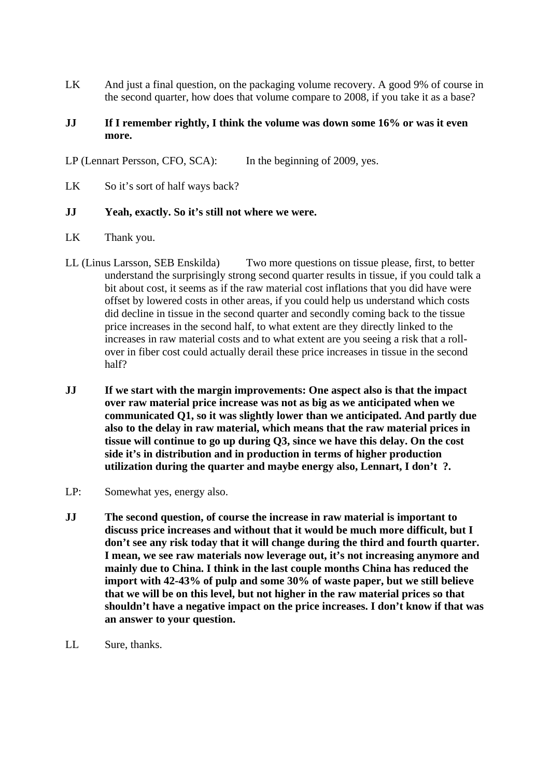LK And just a final question, on the packaging volume recovery. A good 9% of course in the second quarter, how does that volume compare to 2008, if you take it as a base?

#### **JJ** If I remember rightly, I think the volume was down some 16% or was it even **more.**

LP (Lennart Persson, CFO, SCA): In the beginning of 2009, yes.

LK So it's sort of half ways back?

#### **JJ Yeah, exactly. So it's still not where we were.**

- LK Thank you.
- LL (Linus Larsson, SEB Enskilda) Two more questions on tissue please, first, to better understand the surprisingly strong second quarter results in tissue, if you could talk a bit about cost, it seems as if the raw material cost inflations that you did have were offset by lowered costs in other areas, if you could help us understand which costs did decline in tissue in the second quarter and secondly coming back to the tissue price increases in the second half, to what extent are they directly linked to the increases in raw material costs and to what extent are you seeing a risk that a rollover in fiber cost could actually derail these price increases in tissue in the second half?
- **JJ If we start with the margin improvements: One aspect also is that the impact over raw material price increase was not as big as we anticipated when we communicated Q1, so it was slightly lower than we anticipated. And partly due also to the delay in raw material, which means that the raw material prices in tissue will continue to go up during Q3, since we have this delay. On the cost side it's in distribution and in production in terms of higher production utilization during the quarter and maybe energy also, Lennart, I don't ?.**
- LP: Somewhat yes, energy also.
- **JJ The second question, of course the increase in raw material is important to discuss price increases and without that it would be much more difficult, but I don't see any risk today that it will change during the third and fourth quarter. I mean, we see raw materials now leverage out, it's not increasing anymore and mainly due to China. I think in the last couple months China has reduced the import with 42-43% of pulp and some 30% of waste paper, but we still believe that we will be on this level, but not higher in the raw material prices so that shouldn't have a negative impact on the price increases. I don't know if that was an answer to your question.**
- LL Sure, thanks.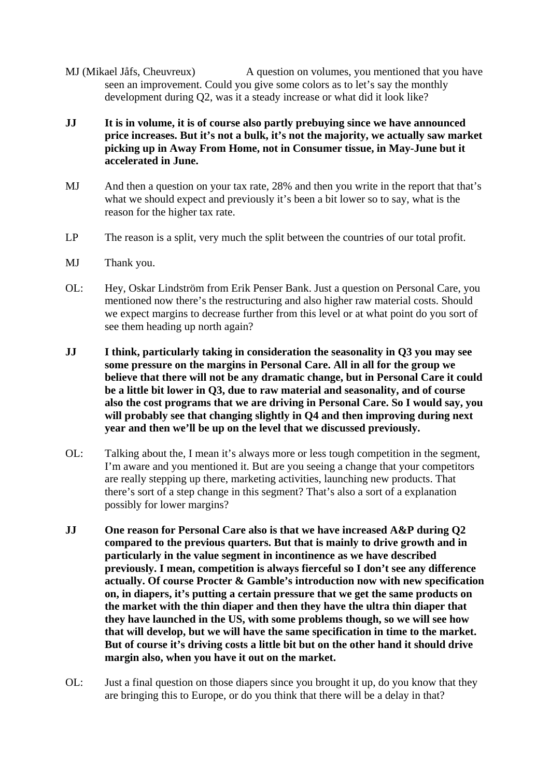- MJ (Mikael Jåfs, Cheuvreux) A question on volumes, you mentioned that you have seen an improvement. Could you give some colors as to let's say the monthly development during Q2, was it a steady increase or what did it look like?
- **JJ It is in volume, it is of course also partly prebuying since we have announced price increases. But it's not a bulk, it's not the majority, we actually saw market picking up in Away From Home, not in Consumer tissue, in May-June but it accelerated in June.**
- MJ And then a question on your tax rate, 28% and then you write in the report that that's what we should expect and previously it's been a bit lower so to say, what is the reason for the higher tax rate.
- LP The reason is a split, very much the split between the countries of our total profit.
- MJ Thank you.
- OL: Hey, Oskar Lindström from Erik Penser Bank. Just a question on Personal Care, you mentioned now there's the restructuring and also higher raw material costs. Should we expect margins to decrease further from this level or at what point do you sort of see them heading up north again?
- **JJ I think, particularly taking in consideration the seasonality in Q3 you may see some pressure on the margins in Personal Care. All in all for the group we believe that there will not be any dramatic change, but in Personal Care it could be a little bit lower in Q3, due to raw material and seasonality, and of course also the cost programs that we are driving in Personal Care. So I would say, you will probably see that changing slightly in Q4 and then improving during next year and then we'll be up on the level that we discussed previously.**
- OL: Talking about the, I mean it's always more or less tough competition in the segment, I'm aware and you mentioned it. But are you seeing a change that your competitors are really stepping up there, marketing activities, launching new products. That there's sort of a step change in this segment? That's also a sort of a explanation possibly for lower margins?
- **JJ One reason for Personal Care also is that we have increased A&P during Q2 compared to the previous quarters. But that is mainly to drive growth and in particularly in the value segment in incontinence as we have described previously. I mean, competition is always fierceful so I don't see any difference actually. Of course Procter & Gamble's introduction now with new specification on, in diapers, it's putting a certain pressure that we get the same products on the market with the thin diaper and then they have the ultra thin diaper that they have launched in the US, with some problems though, so we will see how that will develop, but we will have the same specification in time to the market. But of course it's driving costs a little bit but on the other hand it should drive margin also, when you have it out on the market.**
- OL: Just a final question on those diapers since you brought it up, do you know that they are bringing this to Europe, or do you think that there will be a delay in that?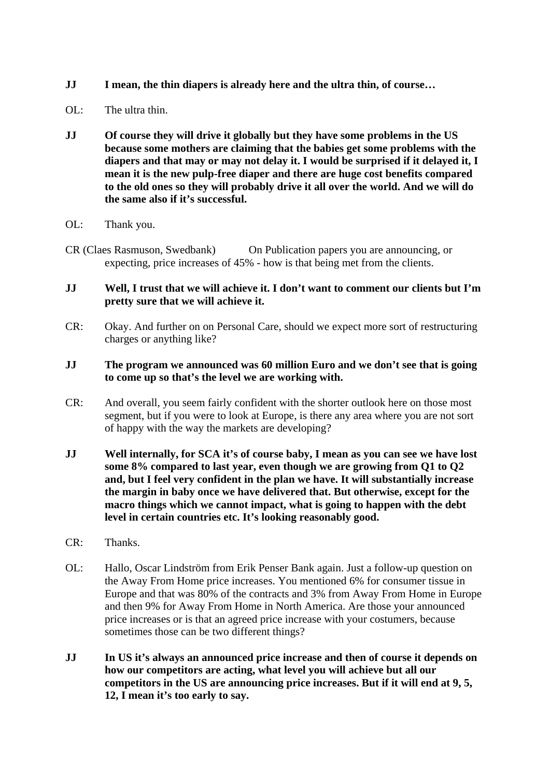- **JJ I mean, the thin diapers is already here and the ultra thin, of course…**
- $\overline{\text{OL}}$ : The ultra thin.
- **JJ Of course they will drive it globally but they have some problems in the US because some mothers are claiming that the babies get some problems with the diapers and that may or may not delay it. I would be surprised if it delayed it, I mean it is the new pulp-free diaper and there are huge cost benefits compared to the old ones so they will probably drive it all over the world. And we will do the same also if it's successful.**
- OL: Thank you.
- CR (Claes Rasmuson, Swedbank) On Publication papers you are announcing, or expecting, price increases of 45% - how is that being met from the clients.

#### **JJ Well, I trust that we will achieve it. I don't want to comment our clients but I'm pretty sure that we will achieve it.**

CR: Okay. And further on on Personal Care, should we expect more sort of restructuring charges or anything like?

## **JJ The program we announced was 60 million Euro and we don't see that is going to come up so that's the level we are working with.**

- CR: And overall, you seem fairly confident with the shorter outlook here on those most segment, but if you were to look at Europe, is there any area where you are not sort of happy with the way the markets are developing?
- **JJ Well internally, for SCA it's of course baby, I mean as you can see we have lost some 8% compared to last year, even though we are growing from Q1 to Q2 and, but I feel very confident in the plan we have. It will substantially increase the margin in baby once we have delivered that. But otherwise, except for the macro things which we cannot impact, what is going to happen with the debt level in certain countries etc. It's looking reasonably good.**
- CR: Thanks.
- OL: Hallo, Oscar Lindström from Erik Penser Bank again. Just a follow-up question on the Away From Home price increases. You mentioned 6% for consumer tissue in Europe and that was 80% of the contracts and 3% from Away From Home in Europe and then 9% for Away From Home in North America. Are those your announced price increases or is that an agreed price increase with your costumers, because sometimes those can be two different things?
- **JJ In US it's always an announced price increase and then of course it depends on how our competitors are acting, what level you will achieve but all our competitors in the US are announcing price increases. But if it will end at 9, 5, 12, I mean it's too early to say.**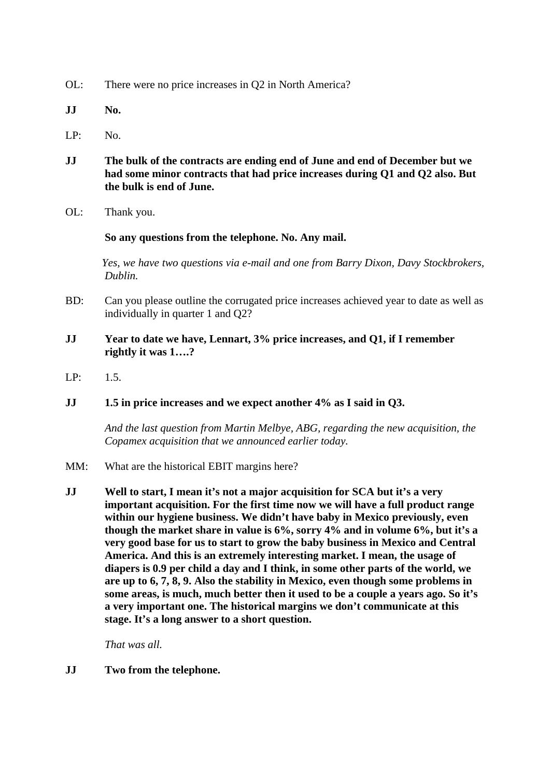- OL: There were no price increases in Q2 in North America?
- **JJ No.**
- LP: No.
- **JJ The bulk of the contracts are ending end of June and end of December but we had some minor contracts that had price increases during Q1 and Q2 also. But the bulk is end of June.**
- OL: Thank you.

#### **So any questions from the telephone. No. Any mail.**

 *Yes, we have two questions via e-mail and one from Barry Dixon, Davy Stockbrokers, Dublin.* 

- BD: Can you please outline the corrugated price increases achieved year to date as well as individually in quarter 1 and Q2?
- **JJ Year to date we have, Lennart, 3% price increases, and Q1, if I remember rightly it was 1….?**
- LP: 1.5.

#### **JJ 1.5 in price increases and we expect another 4% as I said in Q3.**

 *And the last question from Martin Melbye, ABG, regarding the new acquisition, the Copamex acquisition that we announced earlier today.* 

- MM: What are the historical EBIT margins here?
- **JJ Well to start, I mean it's not a major acquisition for SCA but it's a very important acquisition. For the first time now we will have a full product range within our hygiene business. We didn't have baby in Mexico previously, even though the market share in value is 6%, sorry 4% and in volume 6%, but it's a very good base for us to start to grow the baby business in Mexico and Central America. And this is an extremely interesting market. I mean, the usage of diapers is 0.9 per child a day and I think, in some other parts of the world, we are up to 6, 7, 8, 9. Also the stability in Mexico, even though some problems in some areas, is much, much better then it used to be a couple a years ago. So it's a very important one. The historical margins we don't communicate at this stage. It's a long answer to a short question.**

 *That was all.* 

**JJ Two from the telephone.**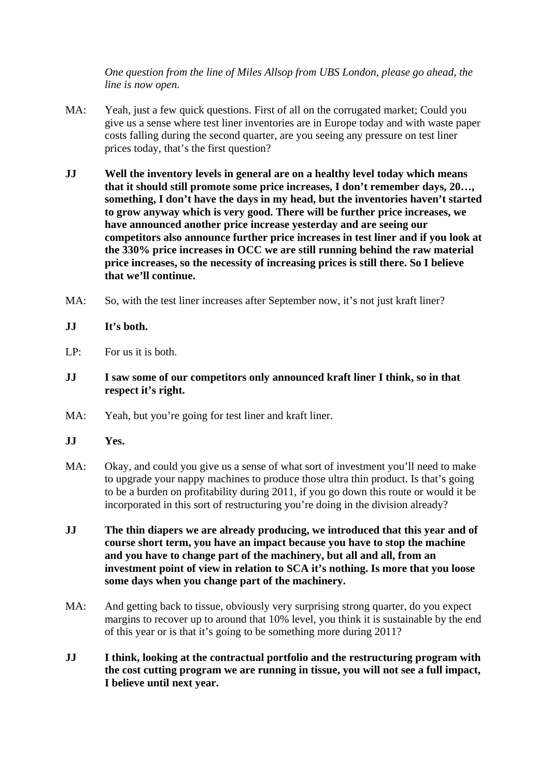*One question from the line of Miles Allsop from UBS London, please go ahead, the line is now open.* 

- MA: Yeah, just a few quick questions. First of all on the corrugated market; Could you give us a sense where test liner inventories are in Europe today and with waste paper costs falling during the second quarter, are you seeing any pressure on test liner prices today, that's the first question?
- **JJ Well the inventory levels in general are on a healthy level today which means that it should still promote some price increases, I don't remember days, 20…, something, I don't have the days in my head, but the inventories haven't started to grow anyway which is very good. There will be further price increases, we have announced another price increase yesterday and are seeing our competitors also announce further price increases in test liner and if you look at the 330% price increases in OCC we are still running behind the raw material price increases, so the necessity of increasing prices is still there. So I believe that we'll continue.**
- MA: So, with the test liner increases after September now, it's not just kraft liner?
- **JJ It's both.**
- LP: For us it is both.
- **JJ I saw some of our competitors only announced kraft liner I think, so in that respect it's right.**
- MA: Yeah, but you're going for test liner and kraft liner.
- **JJ Yes.**
- MA: Okay, and could you give us a sense of what sort of investment you'll need to make to upgrade your nappy machines to produce those ultra thin product. Is that's going to be a burden on profitability during 2011, if you go down this route or would it be incorporated in this sort of restructuring you're doing in the division already?
- **JJ The thin diapers we are already producing, we introduced that this year and of course short term, you have an impact because you have to stop the machine and you have to change part of the machinery, but all and all, from an investment point of view in relation to SCA it's nothing. Is more that you loose some days when you change part of the machinery.**
- MA: And getting back to tissue, obviously very surprising strong quarter, do you expect margins to recover up to around that 10% level, you think it is sustainable by the end of this year or is that it's going to be something more during 2011?
- **JJ I think, looking at the contractual portfolio and the restructuring program with the cost cutting program we are running in tissue, you will not see a full impact, I believe until next year.**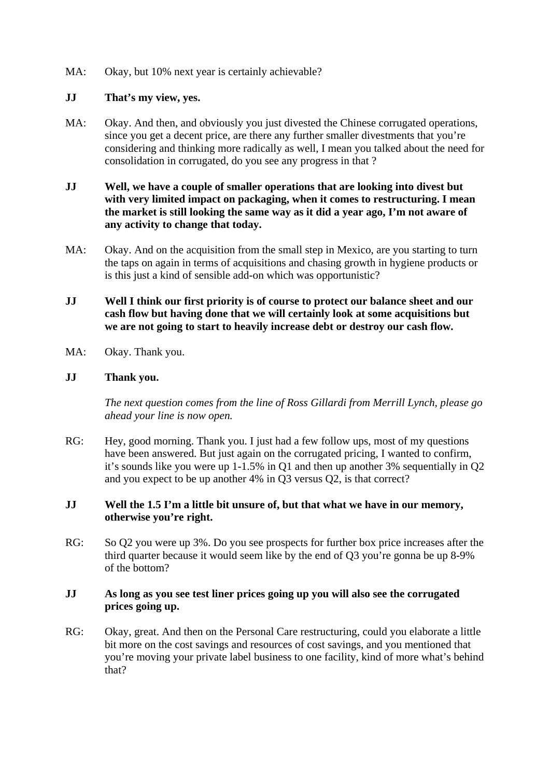MA: Okay, but 10% next year is certainly achievable?

## **JJ That's my view, yes.**

- MA: Okay. And then, and obviously you just divested the Chinese corrugated operations, since you get a decent price, are there any further smaller divestments that you're considering and thinking more radically as well, I mean you talked about the need for consolidation in corrugated, do you see any progress in that ?
- **JJ Well, we have a couple of smaller operations that are looking into divest but with very limited impact on packaging, when it comes to restructuring. I mean the market is still looking the same way as it did a year ago, I'm not aware of any activity to change that today.**
- MA: Okay. And on the acquisition from the small step in Mexico, are you starting to turn the taps on again in terms of acquisitions and chasing growth in hygiene products or is this just a kind of sensible add-on which was opportunistic?
- **JJ Well I think our first priority is of course to protect our balance sheet and our cash flow but having done that we will certainly look at some acquisitions but we are not going to start to heavily increase debt or destroy our cash flow.**
- MA: Okay. Thank you.

## **JJ Thank you.**

 *The next question comes from the line of Ross Gillardi from Merrill Lynch, please go ahead your line is now open.* 

RG: Hey, good morning. Thank you. I just had a few follow ups, most of my questions have been answered. But just again on the corrugated pricing, I wanted to confirm, it's sounds like you were up 1-1.5% in Q1 and then up another 3% sequentially in Q2 and you expect to be up another 4% in Q3 versus Q2, is that correct?

## **JJ Well the 1.5 I'm a little bit unsure of, but that what we have in our memory, otherwise you're right.**

RG: So Q2 you were up 3%. Do you see prospects for further box price increases after the third quarter because it would seem like by the end of Q3 you're gonna be up 8-9% of the bottom?

## **JJ As long as you see test liner prices going up you will also see the corrugated prices going up.**

RG: Okay, great. And then on the Personal Care restructuring, could you elaborate a little bit more on the cost savings and resources of cost savings, and you mentioned that you're moving your private label business to one facility, kind of more what's behind that?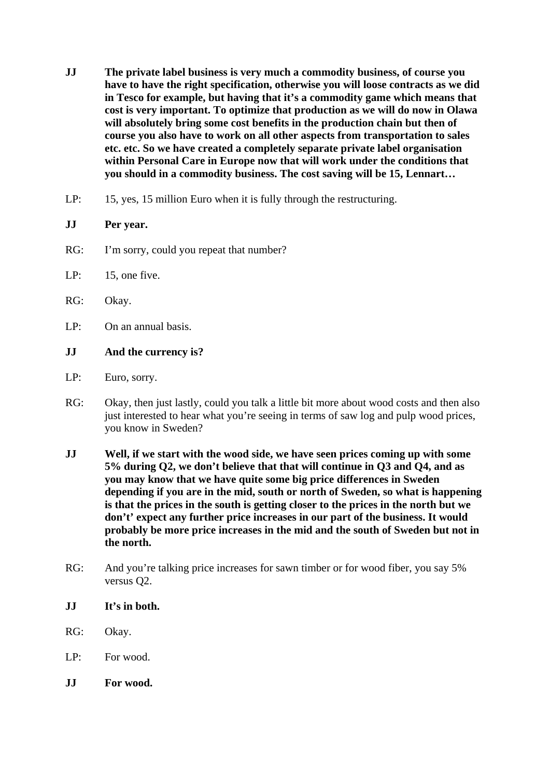- **JJ The private label business is very much a commodity business, of course you have to have the right specification, otherwise you will loose contracts as we did in Tesco for example, but having that it's a commodity game which means that cost is very important. To optimize that production as we will do now in Olawa will absolutely bring some cost benefits in the production chain but then of course you also have to work on all other aspects from transportation to sales etc. etc. So we have created a completely separate private label organisation within Personal Care in Europe now that will work under the conditions that you should in a commodity business. The cost saving will be 15, Lennart…**
- LP: 15, yes, 15 million Euro when it is fully through the restructuring.

## **JJ Per year.**

- RG: I'm sorry, could you repeat that number?
- LP: 15, one five.
- RG: Okay.
- LP: On an annual basis.

## **JJ And the currency is?**

- LP: Euro, sorry.
- RG: Okay, then just lastly, could you talk a little bit more about wood costs and then also just interested to hear what you're seeing in terms of saw log and pulp wood prices, you know in Sweden?
- **JJ Well, if we start with the wood side, we have seen prices coming up with some 5% during Q2, we don't believe that that will continue in Q3 and Q4, and as you may know that we have quite some big price differences in Sweden depending if you are in the mid, south or north of Sweden, so what is happening is that the prices in the south is getting closer to the prices in the north but we don't' expect any further price increases in our part of the business. It would probably be more price increases in the mid and the south of Sweden but not in the north.**
- RG: And you're talking price increases for sawn timber or for wood fiber, you say 5% versus Q2.
- **JJ It's in both.**
- RG: Okay.
- LP: For wood.
- **JJ For wood.**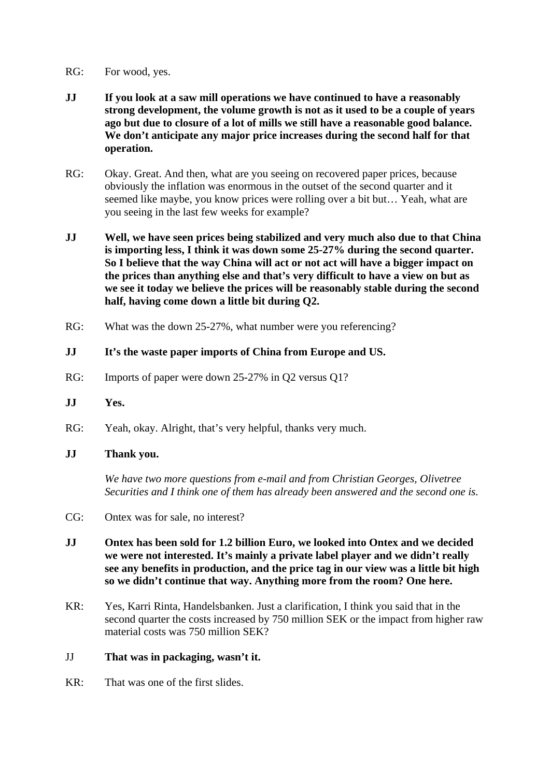- RG: For wood, yes.
- **JJ If you look at a saw mill operations we have continued to have a reasonably strong development, the volume growth is not as it used to be a couple of years ago but due to closure of a lot of mills we still have a reasonable good balance. We don't anticipate any major price increases during the second half for that operation.**
- RG: Okay. Great. And then, what are you seeing on recovered paper prices, because obviously the inflation was enormous in the outset of the second quarter and it seemed like maybe, you know prices were rolling over a bit but… Yeah, what are you seeing in the last few weeks for example?
- **JJ Well, we have seen prices being stabilized and very much also due to that China is importing less, I think it was down some 25-27% during the second quarter. So I believe that the way China will act or not act will have a bigger impact on the prices than anything else and that's very difficult to have a view on but as we see it today we believe the prices will be reasonably stable during the second half, having come down a little bit during Q2.**
- RG: What was the down 25-27%, what number were you referencing?

## **JJ It's the waste paper imports of China from Europe and US.**

- RG: Imports of paper were down 25-27% in Q2 versus Q1?
- **JJ Yes.**
- RG: Yeah, okay. Alright, that's very helpful, thanks very much.
- **JJ Thank you.**

 *We have two more questions from e-mail and from Christian Georges, Olivetree Securities and I think one of them has already been answered and the second one is.* 

- CG: Ontex was for sale, no interest?
- **JJ Ontex has been sold for 1.2 billion Euro, we looked into Ontex and we decided we were not interested. It's mainly a private label player and we didn't really see any benefits in production, and the price tag in our view was a little bit high so we didn't continue that way. Anything more from the room? One here.**
- KR: Yes, Karri Rinta, Handelsbanken. Just a clarification, I think you said that in the second quarter the costs increased by 750 million SEK or the impact from higher raw material costs was 750 million SEK?

#### JJ **That was in packaging, wasn't it.**

KR: That was one of the first slides.